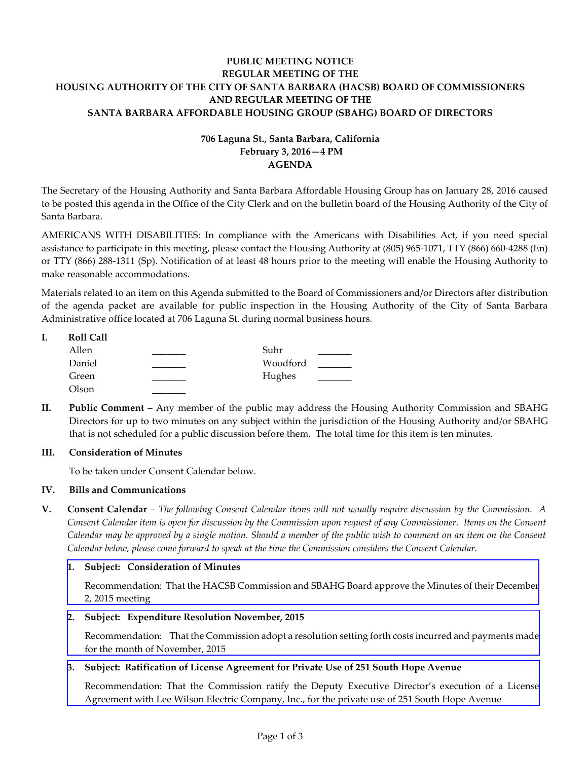# **PUBLIC MEETING NOTICE REGULAR MEETING OF THE HOUSING AUTHORITY OF THE CITY OF SANTA BARBARA (HACSB) BOARD OF COMMISSIONERS AND REGULAR MEETING OF THE SANTA BARBARA AFFORDABLE HOUSING GROUP (SBAHG) BOARD OF DIRECTORS**

# **706 Laguna St., Santa Barbara, California February 3, 2016—4 PM AGENDA**

The Secretary of the Housing Authority and Santa Barbara Affordable Housing Group has on January 28, 2016 caused to be posted this agenda in the Office of the City Clerk and on the bulletin board of the Housing Authority of the City of Santa Barbara.

AMERICANS WITH DISABILITIES: In compliance with the Americans with Disabilities Act, if you need special assistance to participate in this meeting, please contact the Housing Authority at (805) 965-1071, TTY (866) 660-4288 (En) or TTY (866) 288-1311 (Sp). Notification of at least 48 hours prior to the meeting will enable the Housing Authority to make reasonable accommodations.

Materials related to an item on this Agenda submitted to the Board of Commissioners and/or Directors after distribution of the agenda packet are available for public inspection in the Housing Authority of the City of Santa Barbara Administrative office located at 706 Laguna St. during normal business hours.

| I. | <b>Roll Call</b> |          |  |
|----|------------------|----------|--|
|    | Allen            | Suhr     |  |
|    | Daniel           | Woodford |  |
|    | Green            | Hughes   |  |
|    | Olson            |          |  |

**II. Public Comment** – Any member of the public may address the Housing Authority Commission and SBAHG Directors for up to two minutes on any subject within the jurisdiction of the Housing Authority and/or SBAHG that is not scheduled for a public discussion before them. The total time for this item is ten minutes.

# **III. Consideration of Minutes**

To be taken under Consent Calendar below.

# **IV. Bills and Communications**

**V. Consent Calendar** – *The following Consent Calendar items will not usually require discussion by the Commission. A Consent Calendar item is open for discussion by the Commission upon request of any Commissioner. Items on the Consent Calendar may be approved by a single motion. Should a member of the public wish to comment on an item on the Consent Calendar below, please come forward to speak at the time the Commission considers the Consent Calendar.*

#### **1. Subject: Consideration of Minutes**

[Recommendation: That the HACSB Commission and SBAHG Board approve the Minutes of their December](http://hacsb.org/download/meetings_2016_2/items/02_february/item_V_I_2016_02_03.pdf) 2, 2015 meeting

### **2. Subject: Expenditure Resolution November, 2015**

[Recommendation: That the Commission adopt a resolution setting forth costs incurred and payments made](http://hacsb.org/download/meetings_2016_2/items/02_february/item_V_II_2016_02_03.pdf) for the month of November, 2015

# **3. Subject: Ratification of License Agreement for Private Use of 251 South Hope Avenue**

[Recommendation: That the Commission ratify the Deputy Executive Director's execution of a License](http://hacsb.org/download/meetings_2016_2/items/02_february/item_V_III_2016_02_03.pdf)  Agreement with Lee Wilson Electric Company, Inc., for the private use of 251 South Hope Avenue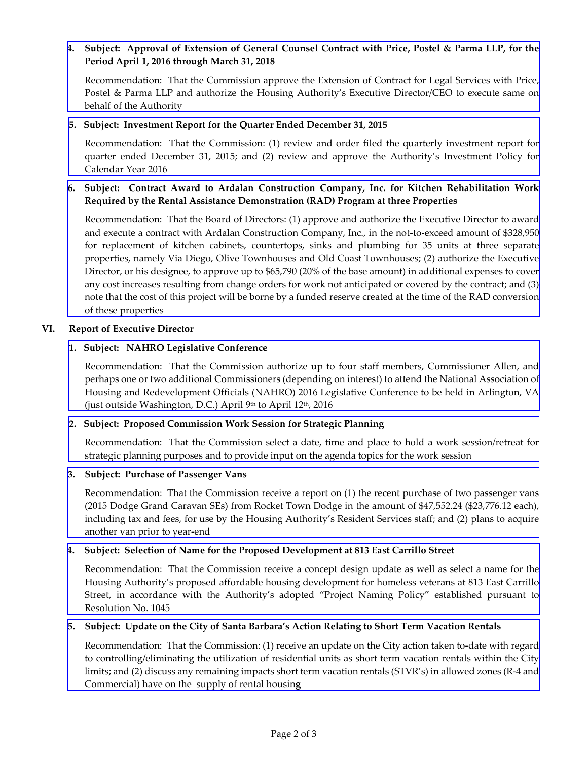# **4. Subject: Approval of Extension of General Counsel Contract with Price, Postel & Parma LLP, for the Period April 1, 2016 through March 31, 2018**

Recommendation: That the Commission approve the Extension of Contract for Legal Services with Price, [Postel & Parma LLP and authorize the Housing Authority's Executive Director/CEO to execute same on](http://hacsb.org/download/meetings_2016_2/items/02_february/item_V_IV_2016_02_03.pdf)  behalf of the Authority

### **5. Subject: Investment Report for the Quarter Ended December 31, 2015**

Recommendation: That the Commission: (1) review and order filed the quarterly investment report for quarter ended December 31, [2015; and \(2\) review and approve the Authority's Investment Policy for](http://hacsb.org/download/meetings_2016_2/items/02_february/item_V_V_2016_02_03.pdf)  Calendar Year 2016

# **[6. Subject: Contract Award to Ardalan Construction Company, Inc. for Kitchen Rehabilitation Work](http://hacsb.org/download/meetings_2016_2/items/02_february/item_V_VI_2016_02_03.pdf)  Required by the Rental Assistance Demonstration (RAD) Program at three Properties**

Recommendation: That the Board of Directors: (1) approve and authorize the Executive Director to award and execute a contract with Ardalan Construction Company, Inc., in the not-to-exceed amount of \$328,950 for replacement of kitchen cabinets, countertops, sinks and plumbing for 35 units at three separate properties, namely Via Diego, Olive Townhouses and Old Coast Townhouses; (2) authorize the Executive Director, or his designee, to approve up to \$65,790 (20% of the base amount) in additional expenses to cover any cost increases resulting from change orders for work not anticipated or covered by the contract; and (3) note that the cost of this project will be borne by a funded reserve created at the time of the RAD conversion of these properties

### **VI. Report of Executive Director**

### **1. Subject: NAHRO Legislative Conference**

Recommendation: That the Commission authorize up to four staff members, Commissioner Allen, and [perhaps one or two additional Commissioners \(depending on interest\) to attend the National Association of](http://hacsb.org/download/meetings_2016_2/items/02_february/item_VI_I_2016_02_03.pdf)  Housing and Redevelopment Officials (NAHRO) 2016 Legislative Conference to be held in Arlington, VA (just outside Washington, D.C.) April 9th to April  $12<sup>th</sup>$ , 2016

#### **2. Subject: Proposed Commission Work Session for Strategic Planning**

[Recommendation: That the Commission select a date, time and place to hold a work session/retreat for](http://hacsb.org/download/meetings_2016_2/items/02_february/item_VI_II_2016_02_03.pdf)  strategic planning purposes and to provide input on the agenda topics for the work session

#### **3. Subject: Purchase of Passenger Vans**

Recommendation: That the Commission receive a report on (1) the recent purchase of two passenger vans (2015 Dodge Grand Caravan SEs) from Rocket Town Dodge in the amount of \$47,552.24 (\$23,776.12 each), [including tax and fees, for use by the Housing Authority's Resident Services staff; and \(2\) plans to acquire](http://hacsb.org/download/meetings_2016_2/items/02_february/item_VI_III_2016_02_03.pdf)  another van prior to year-end

# **4. Subject: Selection of Name for the Proposed Development at 813 East Carrillo Street**

 [Recommendation: That the Commission receive a concept design update as well as select a name for the](http://hacsb.org/download/meetings_2016_2/items/02_february/item_VI_IV_2016_02_03.pdf)  Housing Authority's proposed affordable housing development for homeless veterans at 813 East Carrillo Street, in accordance with the Authority's adopted "Project Naming Policy" established pursuant to Resolution No. 1045

#### **5. Subject: Update on the City of Santa Barbara's Action Relating to Short Term Vacation Rentals**

Recommendation: That the Commission: (1) receive an update on the City action taken to-date with regard to controlling/eliminating the utilization of residential units as short term vacation rentals within the City [limits; and \(2\) discuss any remaining impacts short term vacation rentals \(STVR's\) in allowed zones \(R-4 and](http://hacsb.org/download/meetings_2016_2/items/02_february/item_VI_V_2016_02_03.pdf)  Commercial) have on the supply of rental housin**g**